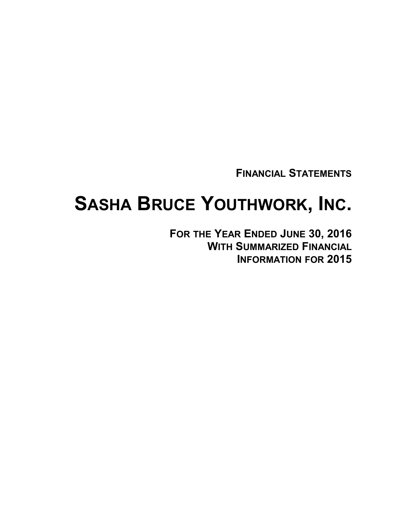**FINANCIAL STATEMENTS**

# **SASHA BRUCE YOUTHWORK, INC.**

**FOR THE YEAR ENDED JUNE 30, 2016 WITH SUMMARIZED FINANCIAL INFORMATION FOR 2015**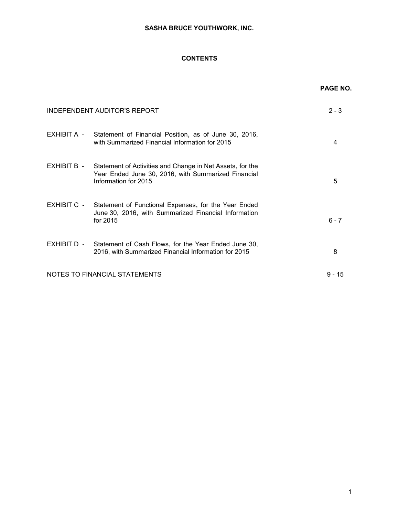# **CONTENTS**

|             |                                                                                                                                          | <b>PAGE NO.</b> |
|-------------|------------------------------------------------------------------------------------------------------------------------------------------|-----------------|
|             | <b>INDEPENDENT AUDITOR'S REPORT</b>                                                                                                      | $2 - 3$         |
|             | EXHIBIT A - Statement of Financial Position, as of June 30, 2016,<br>with Summarized Financial Information for 2015                      | 4               |
| EXHIBIT B - | Statement of Activities and Change in Net Assets, for the<br>Year Ended June 30, 2016, with Summarized Financial<br>Information for 2015 | 5               |
| EXHIBIT C - | Statement of Functional Expenses, for the Year Ended<br>June 30, 2016, with Summarized Financial Information<br>for 2015                 | $6 - 7$         |
| EXHIBIT D - | Statement of Cash Flows, for the Year Ended June 30,<br>2016, with Summarized Financial Information for 2015                             | 8               |
|             | NOTES TO FINANCIAL STATEMENTS                                                                                                            | $9 - 15$        |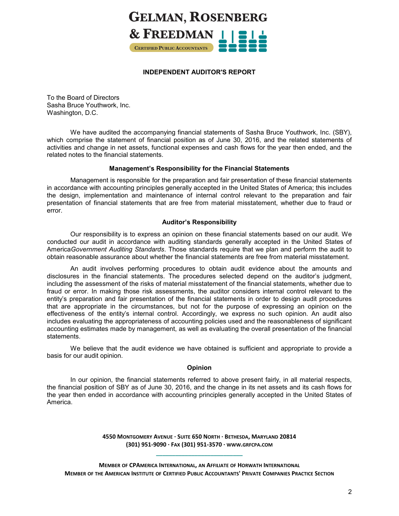

# **INDEPENDENT AUDITOR'S REPORT**

To the Board of Directors Sasha Bruce Youthwork, Inc. Washington, D.C.

We have audited the accompanying financial statements of Sasha Bruce Youthwork, Inc. (SBY), which comprise the statement of financial position as of June 30, 2016, and the related statements of activities and change in net assets, functional expenses and cash flows for the year then ended, and the related notes to the financial statements.

### **Management's Responsibility for the Financial Statements**

Management is responsible for the preparation and fair presentation of these financial statements in accordance with accounting principles generally accepted in the United States of America; this includes the design, implementation and maintenance of internal control relevant to the preparation and fair presentation of financial statements that are free from material misstatement, whether due to fraud or error.

# **Auditor's Responsibility**

Our responsibility is to express an opinion on these financial statements based on our audit. We conducted our audit in accordance with auditing standards generally accepted in the United States of America*Government Auditing Standards*. Those standards require that we plan and perform the audit to obtain reasonable assurance about whether the financial statements are free from material misstatement.

An audit involves performing procedures to obtain audit evidence about the amounts and disclosures in the financial statements. The procedures selected depend on the auditor's judgment, including the assessment of the risks of material misstatement of the financial statements, whether due to fraud or error. In making those risk assessments, the auditor considers internal control relevant to the entity's preparation and fair presentation of the financial statements in order to design audit procedures that are appropriate in the circumstances, but not for the purpose of expressing an opinion on the effectiveness of the entity's internal control. Accordingly, we express no such opinion. An audit also includes evaluating the appropriateness of accounting policies used and the reasonableness of significant accounting estimates made by management, as well as evaluating the overall presentation of the financial statements.

We believe that the audit evidence we have obtained is sufficient and appropriate to provide a basis for our audit opinion.

# **Opinion**

In our opinion, the financial statements referred to above present fairly, in all material respects, the financial position of SBY as of June 30, 2016, and the change in its net assets and its cash flows for the year then ended in accordance with accounting principles generally accepted in the United States of America.

> **4550 MONTGOMERY AVENUE · SUITE 650 NORTH · BETHESDA, MARYLAND 20814 (301) 951-9090 · FAX (301) 951-3570 · WWW.GRFCPA.COM \_\_\_\_\_\_\_\_\_\_\_\_\_\_\_\_\_\_\_\_\_\_\_\_\_\_\_**

**MEMBER OF CPAMERICA INTERNATIONAL, AN AFFILIATE OF HORWATH INTERNATIONAL** MEMBER OF THE AMERICAN INSTITUTE OF CERTIFIED PUBLIC ACCOUNTANTS' PRIVATE COMPANIES PRACTICE SECTION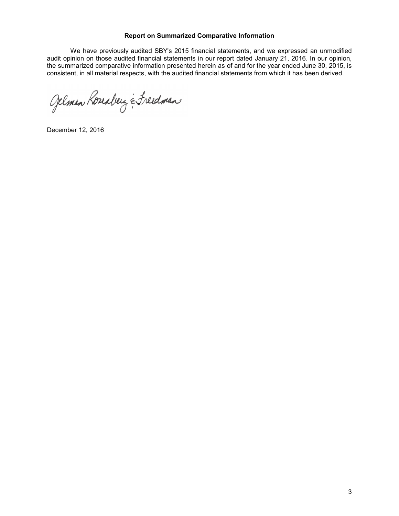## **Report on Summarized Comparative Information**

We have previously audited SBY's 2015 financial statements, and we expressed an unmodified audit opinion on those audited financial statements in our report dated January 21, 2016. In our opinion, the summarized comparative information presented herein as of and for the year ended June 30, 2015, is consistent, in all material respects, with the audited financial statements from which it has been derived.

Gelman Roseaberg & Freedman

December 12, 2016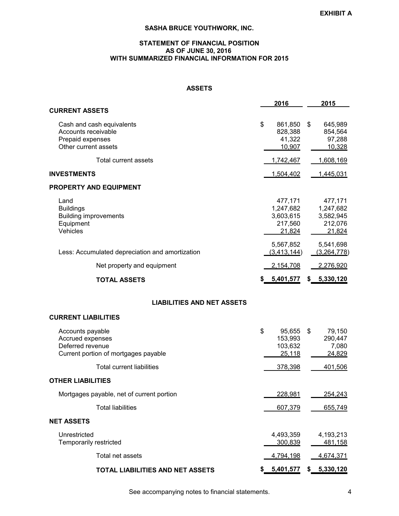## **STATEMENT OF FINANCIAL POSITION AS OF JUNE 30, 2016 WITH SUMMARIZED FINANCIAL INFORMATION FOR 2015**

# **ASSETS**

|                                                                                                                                      | 2016                                                    |                           | 2015                                                   |
|--------------------------------------------------------------------------------------------------------------------------------------|---------------------------------------------------------|---------------------------|--------------------------------------------------------|
| <b>CURRENT ASSETS</b>                                                                                                                |                                                         |                           |                                                        |
| Cash and cash equivalents<br>Accounts receivable<br>Prepaid expenses<br>Other current assets                                         | \$<br>861,850<br>828,388<br>41,322<br>10,907            | $\boldsymbol{\mathsf{s}}$ | 645,989<br>854,564<br>97,288<br>10,328                 |
| Total current assets                                                                                                                 | 1,742,467                                               |                           | 1,608,169                                              |
| <b>INVESTMENTS</b>                                                                                                                   | 1,504,402                                               |                           | 1,445,031                                              |
| PROPERTY AND EQUIPMENT                                                                                                               |                                                         |                           |                                                        |
| Land<br><b>Buildings</b><br><b>Building improvements</b><br>Equipment<br>Vehicles                                                    | 477,171<br>1,247,682<br>3,603,615<br>217,560<br>21,824  |                           | 477,171<br>1,247,682<br>3,582,945<br>212,076<br>21,824 |
| Less: Accumulated depreciation and amortization                                                                                      | 5,567,852<br>(3,413,144)                                |                           | 5,541,698<br>(3,264,778)                               |
| Net property and equipment                                                                                                           | 2,154,708                                               |                           | 2,276,920                                              |
| <b>TOTAL ASSETS</b>                                                                                                                  | \$ 5,401,577                                            |                           | \$ 5,330,120                                           |
| <b>LIABILITIES AND NET ASSETS</b>                                                                                                    |                                                         |                           |                                                        |
| <b>CURRENT LIABILITIES</b>                                                                                                           |                                                         |                           |                                                        |
| Accounts payable<br>Accrued expenses<br>Deferred revenue<br>Current portion of mortgages payable<br><b>Total current liabilities</b> | \$<br>95,655<br>153,993<br>103,632<br>25,118<br>378,398 | \$                        | 79,150<br>290,447<br>7,080<br>24,829<br>401,506        |
| <b>OTHER LIABILITIES</b>                                                                                                             |                                                         |                           |                                                        |
| Mortgages payable, net of current portion                                                                                            | 228,981                                                 |                           | 254,243                                                |
|                                                                                                                                      |                                                         |                           |                                                        |
| <b>Total liabilities</b>                                                                                                             | 607,379                                                 |                           | 655,749                                                |
| <b>NET ASSETS</b>                                                                                                                    |                                                         |                           |                                                        |

| <b>TOTAL LIABILITIES AND NET ASSETS</b> |                      | $$5,401,577$ $$5,330,120$ |
|-----------------------------------------|----------------------|---------------------------|
| Total net assets                        | 4.794.198            | 4,674,371                 |
| Unrestricted<br>Temporarily restricted  | 4,493,359<br>300.839 | 4,193,213<br>481,158      |

See accompanying notes to financial statements. 4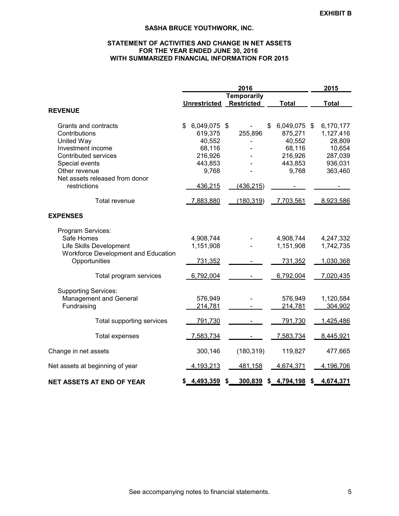# **STATEMENT OF ACTIVITIES AND CHANGE IN NET ASSETS FOR THE YEAR ENDED JUNE 30, 2016 WITH SUMMARIZED FINANCIAL INFORMATION FOR 2015**

|                                     |                    | 2015                           |                    |              |
|-------------------------------------|--------------------|--------------------------------|--------------------|--------------|
|                                     |                    | <b>Temporarily</b>             |                    |              |
|                                     |                    | <b>Unrestricted Restricted</b> | <b>Total</b>       | <b>Total</b> |
| <b>REVENUE</b>                      |                    |                                |                    |              |
| Grants and contracts                | 6,049,075 \$<br>\$ |                                | \$<br>6,049,075 \$ | 6,170,177    |
| Contributions                       | 619,375            | 255,896                        | 875,271            | 1,127,416    |
| United Way                          | 40,552             |                                | 40,552             | 28,809       |
| Investment income                   | 68,116             |                                | 68,116             | 10,654       |
| <b>Contributed services</b>         | 216,926            |                                | 216,926            | 287,039      |
| Special events                      | 443,853            |                                | 443,853            | 936,031      |
| Other revenue                       | 9,768              |                                | 9,768              | 363,460      |
| Net assets released from donor      |                    |                                |                    |              |
| restrictions                        | 436,215            | (436, 215)                     |                    |              |
| Total revenue                       | 7,883,880          | (180, 319)                     | 7,703,561          | 8,923,586    |
| <b>EXPENSES</b>                     |                    |                                |                    |              |
| Program Services:                   |                    |                                |                    |              |
| Safe Homes                          | 4,908,744          |                                | 4,908,744          | 4,247,332    |
| Life Skills Development             | 1,151,908          |                                | 1,151,908          | 1,742,735    |
| Workforce Development and Education |                    |                                |                    |              |
| Opportunities                       | 731,352            |                                | 731,352            | 1,030,368    |
| Total program services              | 6,792,004          |                                | 6,792,004          | 7,020,435    |
| <b>Supporting Services:</b>         |                    |                                |                    |              |
| <b>Management and General</b>       | 576,949            |                                | 576,949            | 1,120,584    |
| Fundraising                         | 214,781            |                                | 214,781            | 304,902      |
| Total supporting services           | 791,730            |                                | 791,730            | 1,425,486    |
| <b>Total expenses</b>               | 7,583,734          |                                | 7,583,734          | 8,445,921    |
| Change in net assets                | 300,146            | (180, 319)                     | 119,827            | 477,665      |
| Net assets at beginning of year     | 4,193,213          | 481,158                        | 4,674,371          | 4,196,706    |
| <b>NET ASSETS AT END OF YEAR</b>    | $$4,493,359$ \$    | $300,839$ \$                   | 4,794,198 \$       | 4,674,371    |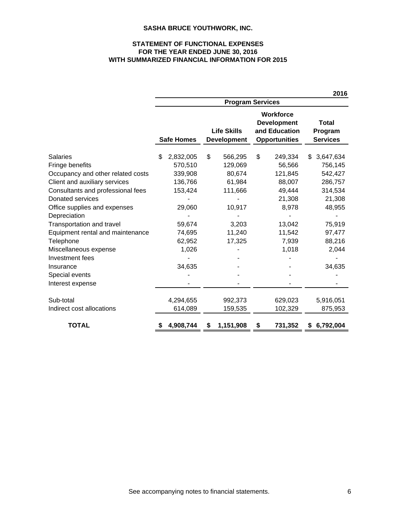# **STATEMENT OF FUNCTIONAL EXPENSES FOR THE YEAR ENDED JUNE 30, 2016 WITH SUMMARIZED FINANCIAL INFORMATION FOR 2015**

|                                   |                         |                   |    |                                          |    |                                                                                 |    | 2016                                       |
|-----------------------------------|-------------------------|-------------------|----|------------------------------------------|----|---------------------------------------------------------------------------------|----|--------------------------------------------|
|                                   | <b>Program Services</b> |                   |    |                                          |    |                                                                                 |    |                                            |
|                                   |                         | <b>Safe Homes</b> |    | <b>Life Skills</b><br><b>Development</b> |    | <b>Workforce</b><br><b>Development</b><br>and Education<br><b>Opportunities</b> |    | <b>Total</b><br>Program<br><b>Services</b> |
| <b>Salaries</b>                   | \$.                     | 2,832,005         | \$ | 566,295                                  | \$ | 249,334                                                                         | \$ | 3,647,634                                  |
| Fringe benefits                   |                         | 570,510           |    | 129,069                                  |    | 56,566                                                                          |    | 756,145                                    |
| Occupancy and other related costs |                         | 339,908           |    | 80,674                                   |    | 121,845                                                                         |    | 542,427                                    |
| Client and auxiliary services     |                         | 136,766           |    | 61,984                                   |    | 88,007                                                                          |    | 286,757                                    |
| Consultants and professional fees |                         | 153,424           |    | 111,666                                  |    | 49,444                                                                          |    | 314,534                                    |
| Donated services                  |                         |                   |    |                                          |    | 21,308                                                                          |    | 21,308                                     |
| Office supplies and expenses      |                         | 29,060            |    | 10,917                                   |    | 8,978                                                                           |    | 48,955                                     |
| Depreciation                      |                         |                   |    |                                          |    |                                                                                 |    |                                            |
| <b>Transportation and travel</b>  |                         | 59,674            |    | 3,203                                    |    | 13,042                                                                          |    | 75,919                                     |
| Equipment rental and maintenance  |                         | 74,695            |    | 11,240                                   |    | 11,542                                                                          |    | 97,477                                     |
| Telephone                         |                         | 62,952            |    | 17,325                                   |    | 7,939                                                                           |    | 88,216                                     |
| Miscellaneous expense             |                         | 1,026             |    |                                          |    | 1,018                                                                           |    | 2,044                                      |
| Investment fees                   |                         |                   |    |                                          |    |                                                                                 |    |                                            |
| Insurance                         |                         | 34,635            |    |                                          |    |                                                                                 |    | 34,635                                     |
| Special events                    |                         |                   |    |                                          |    |                                                                                 |    |                                            |
| Interest expense                  |                         |                   |    |                                          |    |                                                                                 |    |                                            |
| Sub-total                         |                         | 4,294,655         |    | 992,373                                  |    | 629,023                                                                         |    | 5,916,051                                  |
| Indirect cost allocations         |                         | 614,089           |    | 159,535                                  |    | 102,329                                                                         |    | 875,953                                    |
| <b>TOTAL</b>                      | 5                       | 4,908,744         | S  | 1,151,908                                | \$ | 731,352                                                                         | \$ | 6,792,004                                  |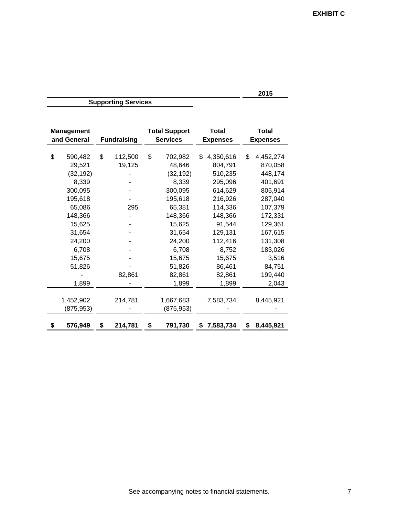**2015**

| <b>Supporting Services</b> |
|----------------------------|
|----------------------------|

| <b>Management</b><br>and General | <b>Fundraising</b> |         | <b>Total Support</b><br><b>Services</b> |           | Total<br><b>Expenses</b> | Total<br><b>Expenses</b> |
|----------------------------------|--------------------|---------|-----------------------------------------|-----------|--------------------------|--------------------------|
| \$<br>590,482                    | \$                 | 112,500 | \$                                      | 702,982   | \$<br>4,350,616          | \$<br>4,452,274          |
|                                  |                    |         |                                         |           |                          |                          |
| 29,521                           |                    | 19,125  |                                         | 48,646    | 804,791                  | 870,058                  |
| (32, 192)                        |                    |         |                                         | (32, 192) | 510,235                  | 448,174                  |
| 8,339                            |                    |         |                                         | 8,339     | 295,096                  | 401,691                  |
| 300,095                          |                    |         |                                         | 300,095   | 614,629                  | 805,914                  |
| 195,618                          |                    |         |                                         | 195,618   | 216,926                  | 287,040                  |
| 65,086                           |                    | 295     |                                         | 65,381    | 114,336                  | 107,379                  |
| 148,366                          |                    |         |                                         | 148,366   | 148,366                  | 172,331                  |
| 15,625                           |                    |         |                                         | 15,625    | 91,544                   | 129,361                  |
| 31,654                           |                    |         |                                         | 31,654    | 129,131                  | 167,615                  |
| 24,200                           |                    |         |                                         | 24,200    | 112,416                  | 131,308                  |
| 6,708                            |                    |         |                                         | 6,708     | 8,752                    | 183,026                  |
| 15,675                           |                    |         |                                         | 15,675    | 15,675                   | 3,516                    |
| 51,826                           |                    |         |                                         | 51,826    | 86,461                   | 84,751                   |
|                                  |                    | 82,861  |                                         | 82,861    | 82,861                   | 199,440                  |
| 1,899                            |                    |         |                                         | 1,899     | 1,899                    | 2,043                    |
|                                  |                    |         |                                         |           |                          |                          |
| 1,452,902                        |                    | 214,781 |                                         | 1,667,683 | 7,583,734                | 8,445,921                |
| (875,953)                        |                    |         |                                         | (875,953) |                          |                          |
|                                  |                    |         |                                         |           |                          |                          |
| 576,949                          | \$                 | 214,781 | \$                                      | 791,730   | 7,583,734<br>S           | \$<br>8,445,921          |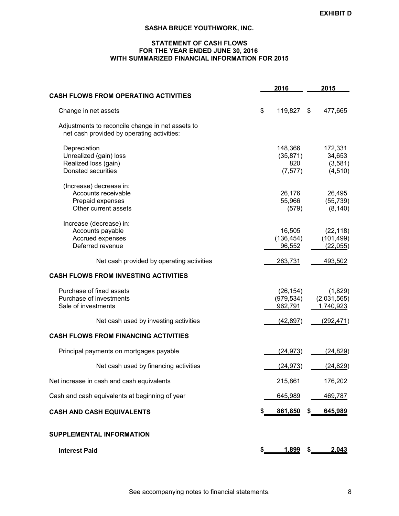# **STATEMENT OF CASH FLOWS FOR THE YEAR ENDED JUNE 30, 2016 WITH SUMMARIZED FINANCIAL INFORMATION FOR 2015**

|                                                                                                |     | 2016                                    |     | 2015                                     |
|------------------------------------------------------------------------------------------------|-----|-----------------------------------------|-----|------------------------------------------|
| <b>CASH FLOWS FROM OPERATING ACTIVITIES</b>                                                    |     |                                         |     |                                          |
| Change in net assets                                                                           | \$  | 119,827                                 | \$  | 477,665                                  |
| Adjustments to reconcile change in net assets to<br>net cash provided by operating activities: |     |                                         |     |                                          |
| Depreciation<br>Unrealized (gain) loss<br>Realized loss (gain)<br>Donated securities           |     | 148,366<br>(35, 871)<br>820<br>(7, 577) |     | 172,331<br>34,653<br>(3,581)<br>(4, 510) |
| (Increase) decrease in:<br>Accounts receivable<br>Prepaid expenses<br>Other current assets     |     | 26,176<br>55,966<br>(579)               |     | 26,495<br>(55, 739)<br>(8, 140)          |
| Increase (decrease) in:<br>Accounts payable<br>Accrued expenses<br>Deferred revenue            |     | 16,505<br>(136, 454)<br>96,552          |     | (22, 118)<br>(101, 499)<br>(22, 055)     |
| Net cash provided by operating activities                                                      |     | 283,731                                 |     | 493,502                                  |
| <b>CASH FLOWS FROM INVESTING ACTIVITIES</b>                                                    |     |                                         |     |                                          |
| Purchase of fixed assets<br>Purchase of investments<br>Sale of investments                     |     | (26, 154)<br>(979, 534)<br>962,791      |     | (1,829)<br>(2,031,565)<br>1,740,923      |
| Net cash used by investing activities                                                          |     | (42, 897)                               |     | (292, 471)                               |
| <b>CASH FLOWS FROM FINANCING ACTIVITIES</b>                                                    |     |                                         |     |                                          |
| Principal payments on mortgages payable                                                        |     | (24, 973)                               |     | (24, 829)                                |
| Net cash used by financing activities                                                          |     | (24, 973)                               |     | (24, 829)                                |
| Net increase in cash and cash equivalents                                                      |     | 215,861                                 |     | 176,202                                  |
| Cash and cash equivalents at beginning of year                                                 |     | 645,989                                 |     | 469,787                                  |
| <b>CASH AND CASH EQUIVALENTS</b>                                                               |     | 861,850                                 | \$  | 645,989                                  |
| <b>SUPPLEMENTAL INFORMATION</b>                                                                |     |                                         |     |                                          |
| <b>Interest Paid</b>                                                                           | \$_ | <u> 1,899</u>                           | \$_ | 2,043                                    |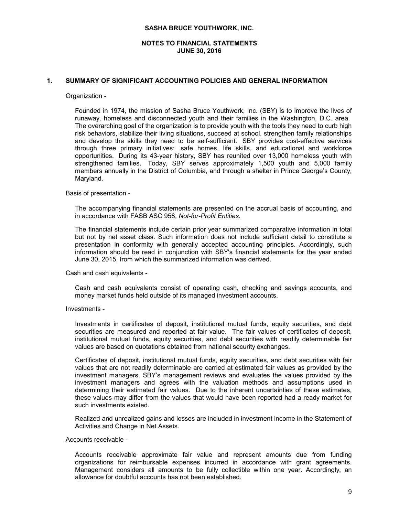## **NOTES TO FINANCIAL STATEMENTS JUNE 30, 2016**

#### **1. SUMMARY OF SIGNIFICANT ACCOUNTING POLICIES AND GENERAL INFORMATION**

#### Organization -

Founded in 1974, the mission of Sasha Bruce Youthwork, Inc. (SBY) is to improve the lives of runaway, homeless and disconnected youth and their families in the Washington, D.C. area. The overarching goal of the organization is to provide youth with the tools they need to curb high risk behaviors, stabilize their living situations, succeed at school, strengthen family relationships and develop the skills they need to be self-sufficient. SBY provides cost-effective services through three primary initiatives: safe homes, life skills, and educational and workforce opportunities. During its 43-year history, SBY has reunited over 13,000 homeless youth with strengthened families. Today, SBY serves approximately 1,500 youth and 5,000 family members annually in the District of Columbia, and through a shelter in Prince George's County, Maryland.

#### Basis of presentation -

The accompanying financial statements are presented on the accrual basis of accounting, and in accordance with FASB ASC 958, *Not-for-Profit Entities*.

The financial statements include certain prior year summarized comparative information in total but not by net asset class. Such information does not include sufficient detail to constitute a presentation in conformity with generally accepted accounting principles. Accordingly, such information should be read in conjunction with SBY's financial statements for the year ended June 30, 2015, from which the summarized information was derived.

Cash and cash equivalents -

Cash and cash equivalents consist of operating cash, checking and savings accounts, and money market funds held outside of its managed investment accounts.

Investments -

Investments in certificates of deposit, institutional mutual funds, equity securities, and debt securities are measured and reported at fair value. The fair values of certificates of deposit, institutional mutual funds, equity securities, and debt securities with readily determinable fair values are based on quotations obtained from national security exchanges.

Certificates of deposit, institutional mutual funds, equity securities, and debt securities with fair values that are not readily determinable are carried at estimated fair values as provided by the investment managers. SBY's management reviews and evaluates the values provided by the investment managers and agrees with the valuation methods and assumptions used in determining their estimated fair values. Due to the inherent uncertainties of these estimates, these values may differ from the values that would have been reported had a ready market for such investments existed.

Realized and unrealized gains and losses are included in investment income in the Statement of Activities and Change in Net Assets.

Accounts receivable -

Accounts receivable approximate fair value and represent amounts due from funding organizations for reimbursable expenses incurred in accordance with grant agreements. Management considers all amounts to be fully collectible within one year. Accordingly, an allowance for doubtful accounts has not been established.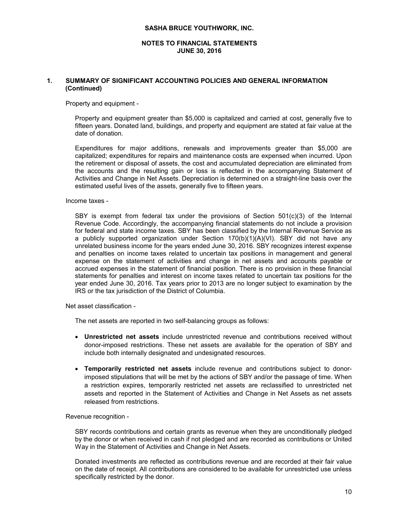### **NOTES TO FINANCIAL STATEMENTS JUNE 30, 2016**

# **1. SUMMARY OF SIGNIFICANT ACCOUNTING POLICIES AND GENERAL INFORMATION (Continued)**

Property and equipment -

Property and equipment greater than \$5,000 is capitalized and carried at cost, generally five to fifteen years. Donated land, buildings, and property and equipment are stated at fair value at the date of donation.

Expenditures for major additions, renewals and improvements greater than \$5,000 are capitalized; expenditures for repairs and maintenance costs are expensed when incurred. Upon the retirement or disposal of assets, the cost and accumulated depreciation are eliminated from the accounts and the resulting gain or loss is reflected in the accompanying Statement of Activities and Change in Net Assets. Depreciation is determined on a straight-line basis over the estimated useful lives of the assets, generally five to fifteen years.

Income taxes -

SBY is exempt from federal tax under the provisions of Section 501(c)(3) of the Internal Revenue Code. Accordingly, the accompanying financial statements do not include a provision for federal and state income taxes. SBY has been classified by the Internal Revenue Service as a publicly supported organization under Section  $170(b)(1)(A)(V)$ . SBY did not have any unrelated business income for the years ended June 30, 2016. SBY recognizes interest expense and penalties on income taxes related to uncertain tax positions in management and general expense on the statement of activities and change in net assets and accounts payable or accrued expenses in the statement of financial position. There is no provision in these financial statements for penalties and interest on income taxes related to uncertain tax positions for the year ended June 30, 2016. Tax years prior to 2013 are no longer subject to examination by the IRS or the tax jurisdiction of the District of Columbia.

Net asset classification -

The net assets are reported in two self-balancing groups as follows:

- **Unrestricted net assets** include unrestricted revenue and contributions received without donor-imposed restrictions. These net assets are available for the operation of SBY and include both internally designated and undesignated resources.
- **Temporarily restricted net assets** include revenue and contributions subject to donorimposed stipulations that will be met by the actions of SBY and/or the passage of time. When a restriction expires, temporarily restricted net assets are reclassified to unrestricted net assets and reported in the Statement of Activities and Change in Net Assets as net assets released from restrictions.

Revenue recognition -

SBY records contributions and certain grants as revenue when they are unconditionally pledged by the donor or when received in cash if not pledged and are recorded as contributions or United Way in the Statement of Activities and Change in Net Assets.

Donated investments are reflected as contributions revenue and are recorded at their fair value on the date of receipt. All contributions are considered to be available for unrestricted use unless specifically restricted by the donor.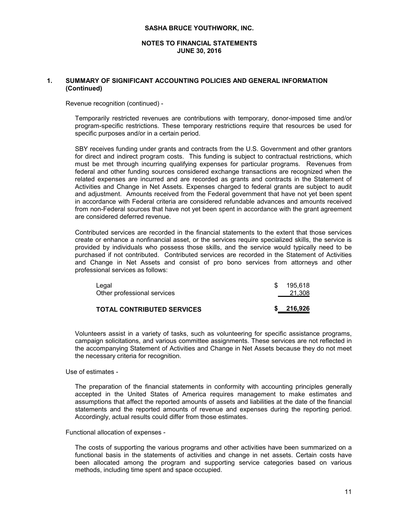#### **NOTES TO FINANCIAL STATEMENTS JUNE 30, 2016**

### **1. SUMMARY OF SIGNIFICANT ACCOUNTING POLICIES AND GENERAL INFORMATION (Continued)**

Revenue recognition (continued) -

Temporarily restricted revenues are contributions with temporary, donor-imposed time and/or program-specific restrictions. These temporary restrictions require that resources be used for specific purposes and/or in a certain period.

SBY receives funding under grants and contracts from the U.S. Government and other grantors for direct and indirect program costs. This funding is subject to contractual restrictions, which must be met through incurring qualifying expenses for particular programs. Revenues from federal and other funding sources considered exchange transactions are recognized when the related expenses are incurred and are recorded as grants and contracts in the Statement of Activities and Change in Net Assets. Expenses charged to federal grants are subject to audit and adjustment. Amounts received from the Federal government that have not yet been spent in accordance with Federal criteria are considered refundable advances and amounts received from non-Federal sources that have not yet been spent in accordance with the grant agreement are considered deferred revenue.

Contributed services are recorded in the financial statements to the extent that those services create or enhance a nonfinancial asset, or the services require specialized skills, the service is provided by individuals who possess those skills, and the service would typically need to be purchased if not contributed. Contributed services are recorded in the Statement of Activities and Change in Net Assets and consist of pro bono services from attorneys and other professional services as follows:

| Legal<br>Other professional services | 195.618<br>21,308 |
|--------------------------------------|-------------------|
| <b>TOTAL CONTRIBUTED SERVICES</b>    | 216.926           |

Volunteers assist in a variety of tasks, such as volunteering for specific assistance programs, campaign solicitations, and various committee assignments. These services are not reflected in the accompanying Statement of Activities and Change in Net Assets because they do not meet the necessary criteria for recognition.

Use of estimates -

The preparation of the financial statements in conformity with accounting principles generally accepted in the United States of America requires management to make estimates and assumptions that affect the reported amounts of assets and liabilities at the date of the financial statements and the reported amounts of revenue and expenses during the reporting period. Accordingly, actual results could differ from those estimates.

Functional allocation of expenses -

The costs of supporting the various programs and other activities have been summarized on a functional basis in the statements of activities and change in net assets. Certain costs have been allocated among the program and supporting service categories based on various methods, including time spent and space occupied.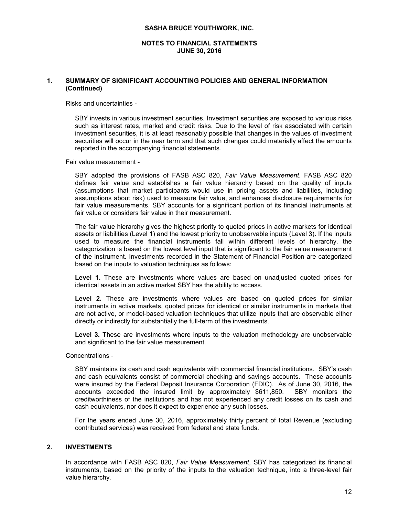## **NOTES TO FINANCIAL STATEMENTS JUNE 30, 2016**

# **1. SUMMARY OF SIGNIFICANT ACCOUNTING POLICIES AND GENERAL INFORMATION (Continued)**

Risks and uncertainties -

SBY invests in various investment securities. Investment securities are exposed to various risks such as interest rates, market and credit risks. Due to the level of risk associated with certain investment securities, it is at least reasonably possible that changes in the values of investment securities will occur in the near term and that such changes could materially affect the amounts reported in the accompanying financial statements.

Fair value measurement -

SBY adopted the provisions of FASB ASC 820, *Fair Value Measurement*. FASB ASC 820 defines fair value and establishes a fair value hierarchy based on the quality of inputs (assumptions that market participants would use in pricing assets and liabilities, including assumptions about risk) used to measure fair value, and enhances disclosure requirements for fair value measurements. SBY accounts for a significant portion of its financial instruments at fair value or considers fair value in their measurement.

The fair value hierarchy gives the highest priority to quoted prices in active markets for identical assets or liabilities (Level 1) and the lowest priority to unobservable inputs (Level 3). If the inputs used to measure the financial instruments fall within different levels of hierarchy, the categorization is based on the lowest level input that is significant to the fair value measurement of the instrument. Investments recorded in the Statement of Financial Position are categorized based on the inputs to valuation techniques as follows:

**Level 1.** These are investments where values are based on unadjusted quoted prices for identical assets in an active market SBY has the ability to access.

**Level 2.** These are investments where values are based on quoted prices for similar instruments in active markets, quoted prices for identical or similar instruments in markets that are not active, or model-based valuation techniques that utilize inputs that are observable either directly or indirectly for substantially the full-term of the investments.

**Level 3.** These are investments where inputs to the valuation methodology are unobservable and significant to the fair value measurement.

Concentrations -

SBY maintains its cash and cash equivalents with commercial financial institutions. SBY's cash and cash equivalents consist of commercial checking and savings accounts. These accounts were insured by the Federal Deposit Insurance Corporation (FDIC). As of June 30, 2016, the accounts exceeded the insured limit by approximately \$611,850. SBY monitors the creditworthiness of the institutions and has not experienced any credit losses on its cash and cash equivalents, nor does it expect to experience any such losses.

For the years ended June 30, 2016, approximately thirty percent of total Revenue (excluding contributed services) was received from federal and state funds.

#### **2. INVESTMENTS**

In accordance with FASB ASC 820, *Fair Value Measurement*, SBY has categorized its financial instruments, based on the priority of the inputs to the valuation technique, into a three-level fair value hierarchy.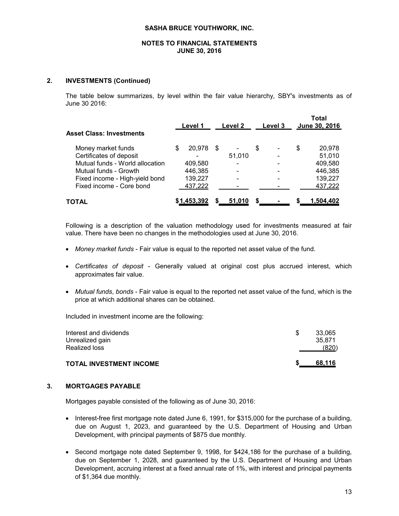#### **NOTES TO FINANCIAL STATEMENTS JUNE 30, 2016**

#### **2. INVESTMENTS (Continued)**

The table below summarizes, by level within the fair value hierarchy, SBY's investments as of June 30 2016:

| Asset Class: Investments        | Level 1      |   | Level 2                  |   | Level 3 |   | <b>Total</b><br>June 30, 2016 |
|---------------------------------|--------------|---|--------------------------|---|---------|---|-------------------------------|
| Money market funds              | \$<br>20,978 | S |                          | S |         | S | 20,978                        |
| Certificates of deposit         |              |   | 51,010                   |   |         |   | 51,010                        |
| Mutual funds - World allocation | 409,580      |   |                          |   |         |   | 409,580                       |
| Mutual funds - Growth           | 446,385      |   |                          |   |         |   | 446,385                       |
| Fixed income - High-yield bond  | 139,227      |   | $\overline{\phantom{0}}$ |   |         |   | 139,227                       |
| Fixed income - Core bond        | 437,222      |   |                          |   |         |   | 437,222                       |
| TOTAL                           | \$1,453,392  |   | 51,010                   |   |         |   | 1,504,402                     |

Following is a description of the valuation methodology used for investments measured at fair value. There have been no changes in the methodologies used at June 30, 2016.

- *Money market funds* Fair value is equal to the reported net asset value of the fund.
- *Certificates of deposit* Generally valued at original cost plus accrued interest, which approximates fair value.
- *Mutual funds*, *bonds* Fair value is equal to the reported net asset value of the fund, which is the price at which additional shares can be obtained.

Included in investment income are the following:

| Interest and dividends<br>Unrealized gain<br>Realized loss |   | 33.065<br>35.871<br>(820) |
|------------------------------------------------------------|---|---------------------------|
| TOTAL INVESTMENT INCOME                                    | S | 68.116                    |

#### **3. MORTGAGES PAYABLE**

Mortgages payable consisted of the following as of June 30, 2016:

- Interest-free first mortgage note dated June 6, 1991, for \$315,000 for the purchase of a building, due on August 1, 2023, and guaranteed by the U.S. Department of Housing and Urban Development, with principal payments of \$875 due monthly.
- Second mortgage note dated September 9, 1998, for \$424,186 for the purchase of a building, due on September 1, 2028, and guaranteed by the U.S. Department of Housing and Urban Development, accruing interest at a fixed annual rate of 1%, with interest and principal payments of \$1,364 due monthly.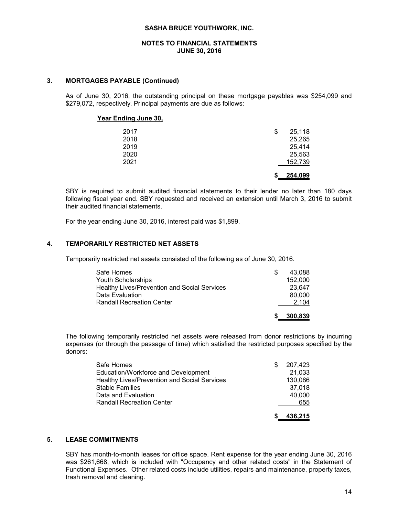#### **NOTES TO FINANCIAL STATEMENTS JUNE 30, 2016**

#### **3. MORTGAGES PAYABLE (Continued)**

As of June 30, 2016, the outstanding principal on these mortgage payables was \$254,099 and \$279,072, respectively. Principal payments are due as follows:

#### **Year Ending June 30,**

|      | 254,099      |
|------|--------------|
| 2021 | 152,739      |
| 2020 | 25,563       |
| 2019 | 25,414       |
| 2018 | 25,265       |
| 2017 | \$<br>25,118 |
|      |              |

SBY is required to submit audited financial statements to their lender no later than 180 days following fiscal year end. SBY requested and received an extension until March 3, 2016 to submit their audited financial statements.

For the year ending June 30, 2016, interest paid was \$1,899.

# **4. TEMPORARILY RESTRICTED NET ASSETS**

Temporarily restricted net assets consisted of the following as of June 30, 2016.

|                                              |     | 300.839 |
|----------------------------------------------|-----|---------|
| <b>Randall Recreation Center</b>             |     | 2,104   |
| Data Evaluation                              |     | 80,000  |
| Healthy Lives/Prevention and Social Services |     | 23.647  |
| Youth Scholarships                           |     | 152,000 |
| Safe Homes                                   | \$. | 43.088  |
|                                              |     |         |

The following temporarily restricted net assets were released from donor restrictions by incurring expenses (or through the passage of time) which satisfied the restricted purposes specified by the donors:

| Safe Homes                                   | \$. | 207.423 |
|----------------------------------------------|-----|---------|
| Education/Workforce and Development          |     | 21.033  |
| Healthy Lives/Prevention and Social Services |     | 130.086 |
| <b>Stable Families</b>                       |     | 37.018  |
| Data and Evaluation                          |     | 40,000  |
| <b>Randall Recreation Center</b>             |     | 655     |
|                                              |     | 436.215 |

# **5. LEASE COMMITMENTS**

SBY has month-to-month leases for office space. Rent expense for the year ending June 30, 2016 was \$261,668, which is included with "Occupancy and other related costs" in the Statement of Functional Expenses. Other related costs include utilities, repairs and maintenance, property taxes, trash removal and cleaning.